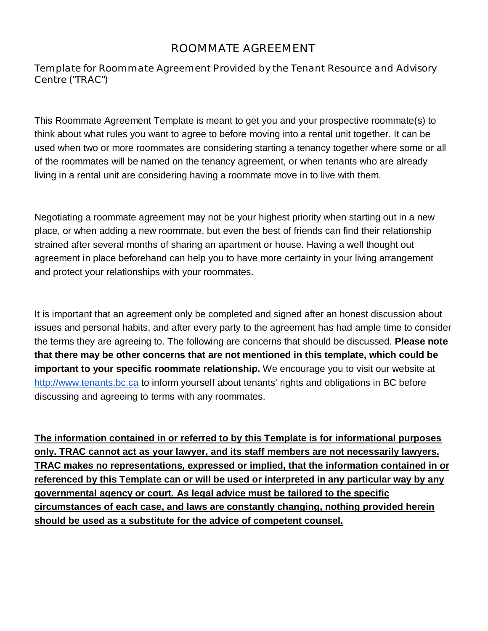## ROOMMATE AGREEMENT

*Template for Roommate Agreement Provided by the Tenant Resource and Advisory Centre* ("TRAC")

This Roommate Agreement Template is meant to get you and your prospective roommate(s) to think about what rules you want to agree to before moving into a rental unit together. It can be used when two or more roommates are considering starting a tenancy together where some or all of the roommates will be named on the tenancy agreement, or when tenants who are already living in a rental unit are considering having a roommate move in to live with them.

Negotiating a roommate agreement may not be your highest priority when starting out in a new place, or when adding a new roommate, but even the best of friends can find their relationship strained after several months of sharing an apartment or house. Having a well thought out agreement in place beforehand can help you to have more certainty in your living arrangement and protect your relationships with your roommates.

It is important that an agreement only be completed and signed after an honest discussion about issues and personal habits, and after every party to the agreement has had ample time to consider the terms they are agreeing to. The following are concerns that should be discussed. **Please note that there may be other concerns that are not mentioned in this template, which could be important to your specific roommate relationship.** We encourage you to visit our website at http://www.tenants.bc.ca to inform yourself about tenants' rights and obligations in BC before discussing and agreeing to terms with any roommates.

**The information contained in or referred to by this Template is for informational purposes only. TRAC cannot act as your lawyer, and its staff members are not necessarily lawyers. TRAC makes no representations, expressed or implied, that the information contained in or referenced by this Template can or will be used or interpreted in any particular way by any governmental agency or court. As legal advice must be tailored to the specific circumstances of each case, and laws are constantly changing, nothing provided herein should be used as a substitute for the advice of competent counsel.**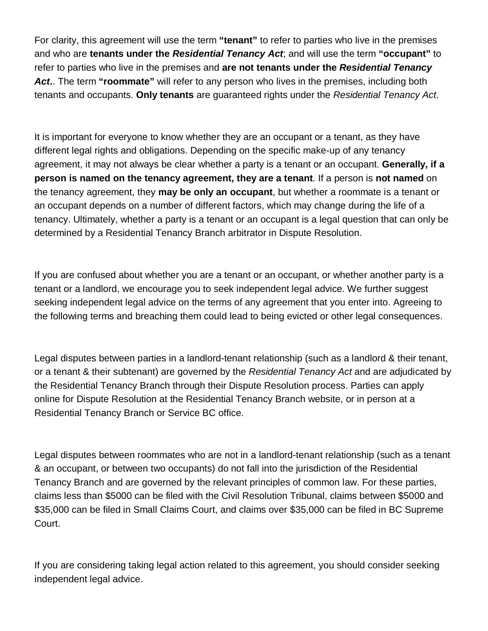For clarity, this agreement will use the term **"tenant"** to refer to parties who live in the premises and who are **tenants under the** *Residential Tenancy Act*; and will use the term **"occupant"** to refer to parties who live in the premises and **are not tenants under the** *Residential Tenancy Act***.**. The term **"roommate"** will refer to any person who lives in the premises, including both tenants and occupants. **Only tenants** are guaranteed rights under the *Residential Tenancy Act*.

It is important for everyone to know whether they are an occupant or a tenant, as they have different legal rights and obligations. Depending on the specific make-up of any tenancy agreement, it may not always be clear whether a party is a tenant or an occupant. **Generally, if a person is named on the tenancy agreement, they are a tenant**. If a person is **not named** on the tenancy agreement, they **may be only an occupant**, but whether a roommate is a tenant or an occupant depends on a number of different factors, which may change during the life of a tenancy. Ultimately, whether a party is a tenant or an occupant is a legal question that can only be determined by a Residential Tenancy Branch arbitrator in Dispute Resolution.

If you are confused about whether you are a tenant or an occupant, or whether another party is a tenant or a landlord, we encourage you to seek independent legal advice. We further suggest seeking independent legal advice on the terms of any agreement that you enter into. Agreeing to the following terms and breaching them could lead to being evicted or other legal consequences.

Legal disputes between parties in a landlord-tenant relationship (such as a landlord & their tenant, or a tenant & their subtenant) are governed by the *Residential Tenancy Act* and are adjudicated by the Residential Tenancy Branch through their Dispute Resolution process. Parties can apply online for Dispute Resolution at the Residential Tenancy Branch website, or in person at a Residential Tenancy Branch or Service BC office.

Legal disputes between roommates who are not in a landlord-tenant relationship (such as a tenant & an occupant, or between two occupants) do not fall into the jurisdiction of the Residential Tenancy Branch and are governed by the relevant principles of common law. For these parties, claims less than \$5000 can be filed with the Civil Resolution Tribunal, claims between \$5000 and \$35,000 can be filed in Small Claims Court, and claims over \$35,000 can be filed in BC Supreme Court.

If you are considering taking legal action related to this agreement, you should consider seeking independent legal advice.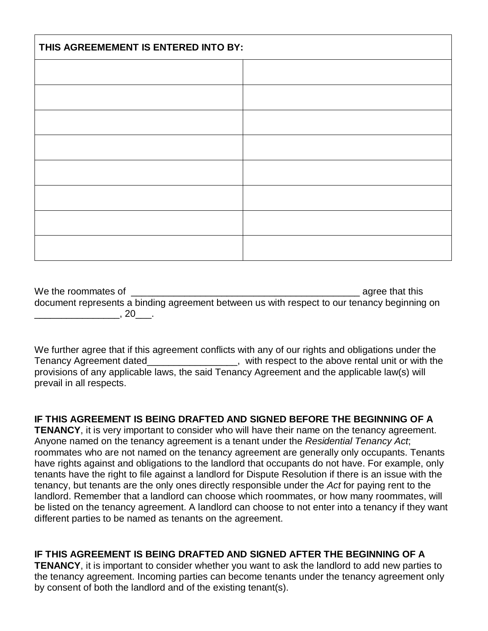| THIS AGREEMEMENT IS ENTERED INTO BY: |  |  |  |
|--------------------------------------|--|--|--|
|                                      |  |  |  |
|                                      |  |  |  |
|                                      |  |  |  |
|                                      |  |  |  |
|                                      |  |  |  |
|                                      |  |  |  |
|                                      |  |  |  |
|                                      |  |  |  |

We the roommates of  $\blacksquare$ document represents a binding agreement between us with respect to our tenancy beginning on  $\overline{\phantom{a}}$ , 20 $\overline{\phantom{a}}$ .

We further agree that if this agreement conflicts with any of our rights and obligations under the Tenancy Agreement dated\_\_\_\_\_\_\_\_\_\_\_\_\_\_\_\_\_, with respect to the above rental unit or with the provisions of any applicable laws, the said Tenancy Agreement and the applicable law(s) will prevail in all respects.

## **IF THIS AGREEMENT IS BEING DRAFTED AND SIGNED BEFORE THE BEGINNING OF A**

**TENANCY**, it is very important to consider who will have their name on the tenancy agreement. Anyone named on the tenancy agreement is a tenant under the *Residential Tenancy Act*; roommates who are not named on the tenancy agreement are generally only occupants. Tenants have rights against and obligations to the landlord that occupants do not have. For example, only tenants have the right to file against a landlord for Dispute Resolution if there is an issue with the tenancy, but tenants are the only ones directly responsible under the *Act* for paying rent to the landlord. Remember that a landlord can choose which roommates, or how many roommates, will be listed on the tenancy agreement. A landlord can choose to not enter into a tenancy if they want different parties to be named as tenants on the agreement.

## **IF THIS AGREEMENT IS BEING DRAFTED AND SIGNED AFTER THE BEGINNING OF A**

**TENANCY**, it is important to consider whether you want to ask the landlord to add new parties to the tenancy agreement. Incoming parties can become tenants under the tenancy agreement only by consent of both the landlord and of the existing tenant(s).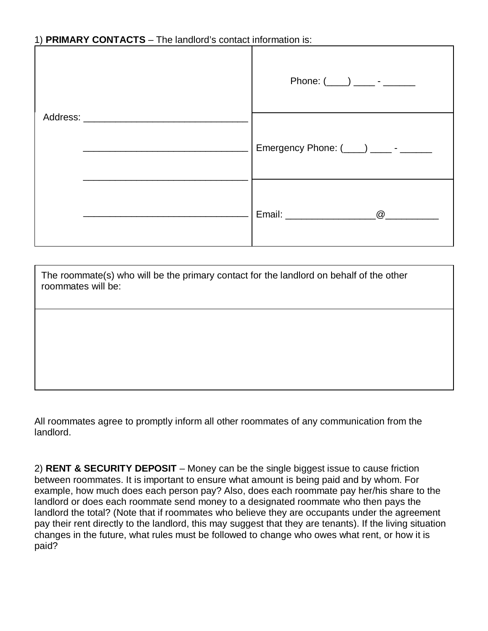## 1) **PRIMARY CONTACTS** – The landlord's contact information is:

| Address: Analysis and the state of the state of the state of the state of the state of the state of the state of the state of the state of the state of the state of the state of the state of the state of the state of the s |                                        |  |
|--------------------------------------------------------------------------------------------------------------------------------------------------------------------------------------------------------------------------------|----------------------------------------|--|
|                                                                                                                                                                                                                                | Emergency Phone: (___) _____- - ______ |  |
|                                                                                                                                                                                                                                | $\omega$                               |  |

The roommate(s) who will be the primary contact for the landlord on behalf of the other roommates will be:

All roommates agree to promptly inform all other roommates of any communication from the landlord.

2) **RENT & SECURITY DEPOSIT** – Money can be the single biggest issue to cause friction between roommates. It is important to ensure what amount is being paid and by whom. For example, how much does each person pay? Also, does each roommate pay her/his share to the landlord or does each roommate send money to a designated roommate who then pays the landlord the total? (Note that if roommates who believe they are occupants under the agreement pay their rent directly to the landlord, this may suggest that they are tenants). If the living situation changes in the future, what rules must be followed to change who owes what rent, or how it is paid?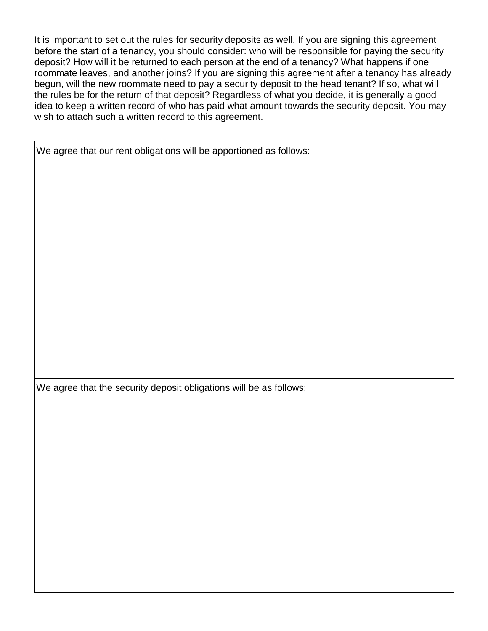It is important to set out the rules for security deposits as well. If you are signing this agreement before the start of a tenancy, you should consider: who will be responsible for paying the security deposit? How will it be returned to each person at the end of a tenancy? What happens if one roommate leaves, and another joins? If you are signing this agreement after a tenancy has already begun, will the new roommate need to pay a security deposit to the head tenant? If so, what will the rules be for the return of that deposit? Regardless of what you decide, it is generally a good idea to keep a written record of who has paid what amount towards the security deposit. You may wish to attach such a written record to this agreement.

We agree that our rent obligations will be apportioned as follows:

We agree that the security deposit obligations will be as follows: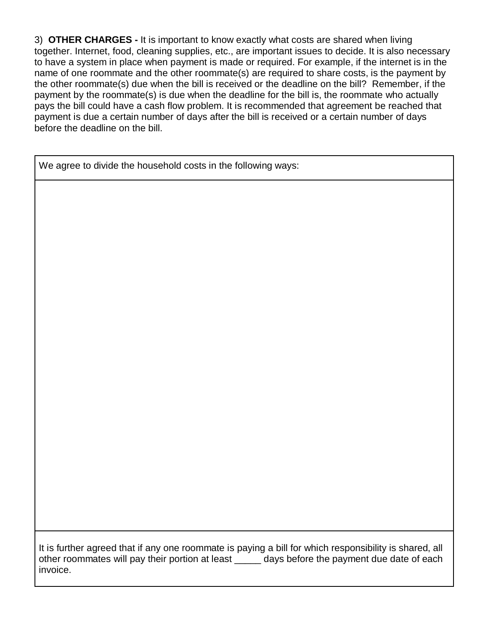3) **OTHER CHARGES -** It is important to know exactly what costs are shared when living together. Internet, food, cleaning supplies, etc., are important issues to decide. It is also necessary to have a system in place when payment is made or required. For example, if the internet is in the name of one roommate and the other roommate(s) are required to share costs, is the payment by the other roommate(s) due when the bill is received or the deadline on the bill? Remember, if the payment by the roommate(s) is due when the deadline for the bill is, the roommate who actually pays the bill could have a cash flow problem. It is recommended that agreement be reached that payment is due a certain number of days after the bill is received or a certain number of days before the deadline on the bill.

We agree to divide the household costs in the following ways:

It is further agreed that if any one roommate is paying a bill for which responsibility is shared, all other roommates will pay their portion at least \_\_\_\_\_ days before the payment due date of each invoice.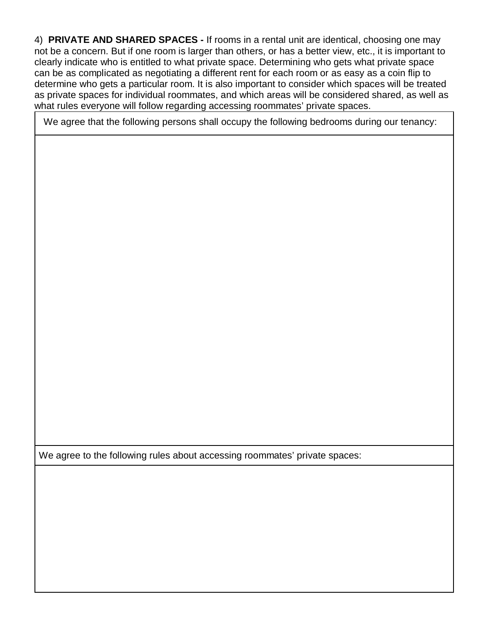4) **PRIVATE AND SHARED SPACES -** If rooms in a rental unit are identical, choosing one may not be a concern. But if one room is larger than others, or has a better view, etc., it is important to clearly indicate who is entitled to what private space. Determining who gets what private space can be as complicated as negotiating a different rent for each room or as easy as a coin flip to determine who gets a particular room. It is also important to consider which spaces will be treated as private spaces for individual roommates, and which areas will be considered shared, as well as what rules everyone will follow regarding accessing roommates' private spaces.

We agree that the following persons shall occupy the following bedrooms during our tenancy:

We agree to the following rules about accessing roommates' private spaces: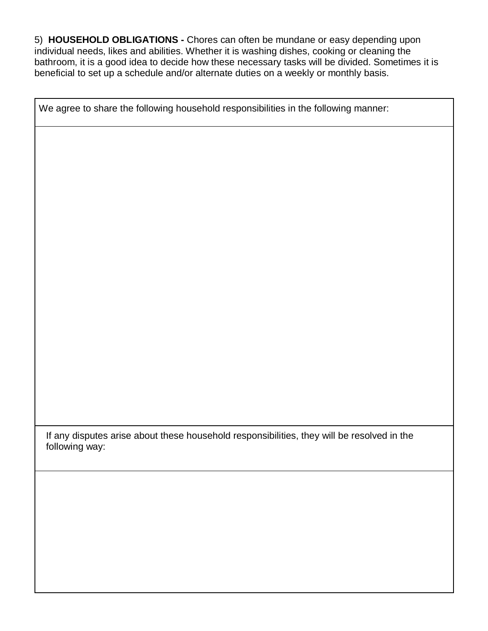5) **HOUSEHOLD OBLIGATIONS -** Chores can often be mundane or easy depending upon individual needs, likes and abilities. Whether it is washing dishes, cooking or cleaning the bathroom, it is a good idea to decide how these necessary tasks will be divided. Sometimes it is beneficial to set up a schedule and/or alternate duties on a weekly or monthly basis.

We agree to share the following household responsibilities in the following manner: If any disputes arise about these household responsibilities, they will be resolved in the following way: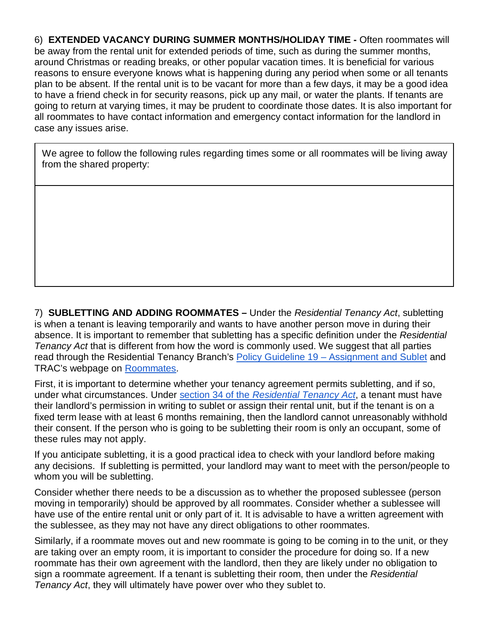6) **EXTENDED VACANCY DURING SUMMER MONTHS/HOLIDAY TIME -** Often roommates will be away from the rental unit for extended periods of time, such as during the summer months, around Christmas or reading breaks, or other popular vacation times. It is beneficial for various reasons to ensure everyone knows what is happening during any period when some or all tenants plan to be absent. If the rental unit is to be vacant for more than a few days, it may be a good idea to have a friend check in for security reasons, pick up any mail, or water the plants. If tenants are going to return at varying times, it may be prudent to coordinate those dates. It is also important for all roommates to have contact information and emergency contact information for the landlord in case any issues arise.

We agree to follow the following rules regarding times some or all roommates will be living away from the shared property:

7) **SUBLETTING AND ADDING ROOMMATES –** Under the *Residential Tenancy Act*, subletting is when a tenant is leaving temporarily and wants to have another person move in during their absence. It is important to remember that subletting has a specific definition under the *Residential Tenancy Act* that is different from how the word is commonly used. We suggest that all parties read through the Residential Tenancy Branch's Policy Guideline 19 - Assignment and Sublet and TRAC's webpage on Roommates.

First, it is important to determine whether your tenancy agreement permits subletting, and if so, under what circumstances. Under section 34 of the *Residential Tenancy Act*, a tenant must have their landlord's permission in writing to sublet or assign their rental unit, but if the tenant is on a fixed term lease with at least 6 months remaining, then the landlord cannot unreasonably withhold their consent. If the person who is going to be subletting their room is only an occupant, some of these rules may not apply.

If you anticipate subletting, it is a good practical idea to check with your landlord before making any decisions. If subletting is permitted, your landlord may want to meet with the person/people to whom you will be subletting.

Consider whether there needs to be a discussion as to whether the proposed sublessee (person moving in temporarily) should be approved by all roommates. Consider whether a sublessee will have use of the entire rental unit or only part of it. It is advisable to have a written agreement with the sublessee, as they may not have any direct obligations to other roommates.

Similarly, if a roommate moves out and new roommate is going to be coming in to the unit, or they are taking over an empty room, it is important to consider the procedure for doing so. If a new roommate has their own agreement with the landlord, then they are likely under no obligation to sign a roommate agreement. If a tenant is subletting their room, then under the *Residential Tenancy Act*, they will ultimately have power over who they sublet to.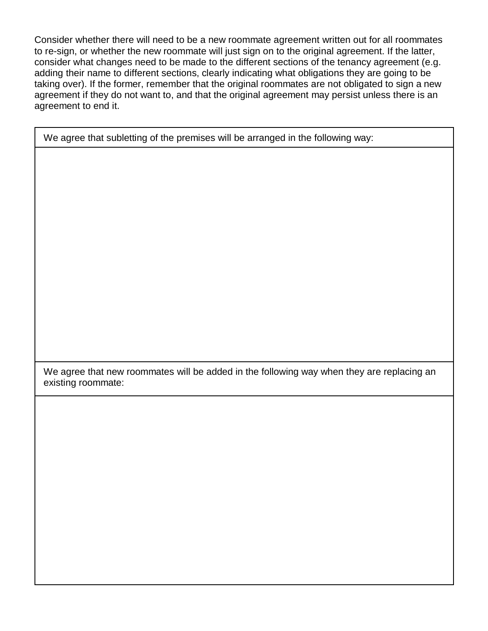Consider whether there will need to be a new roommate agreement written out for all roommates to re-sign, or whether the new roommate will just sign on to the original agreement. If the latter, consider what changes need to be made to the different sections of the tenancy agreement (e.g. adding their name to different sections, clearly indicating what obligations they are going to be taking over). If the former, remember that the original roommates are not obligated to sign a new agreement if they do not want to, and that the original agreement may persist unless there is an agreement to end it.

We agree that subletting of the premises will be arranged in the following way:

We agree that new roommates will be added in the following way when they are replacing an existing roommate: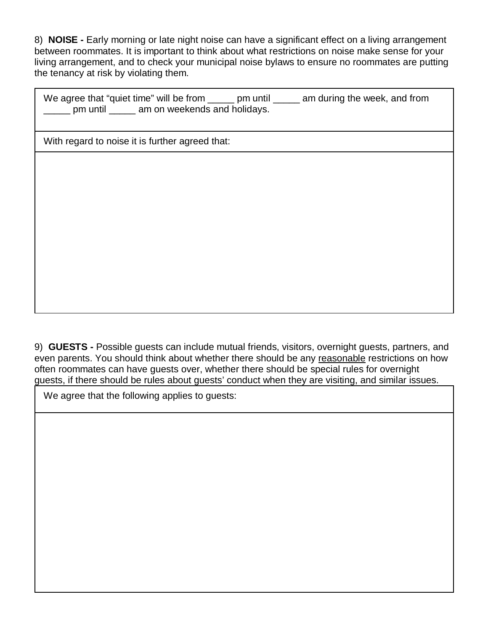8) **NOISE -** Early morning or late night noise can have a significant effect on a living arrangement between roommates. It is important to think about what restrictions on noise make sense for your living arrangement, and to check your municipal noise bylaws to ensure no roommates are putting the tenancy at risk by violating them.

| We agree that "quiet time" will be from |                              | pm until | am during the week, and from |
|-----------------------------------------|------------------------------|----------|------------------------------|
| pm until                                | am on weekends and holidays. |          |                              |

With regard to noise it is further agreed that:

9) **GUESTS -** Possible guests can include mutual friends, visitors, overnight guests, partners, and even parents. You should think about whether there should be any reasonable restrictions on how often roommates can have guests over, whether there should be special rules for overnight guests, if there should be rules about guests' conduct when they are visiting, and similar issues.

We agree that the following applies to guests: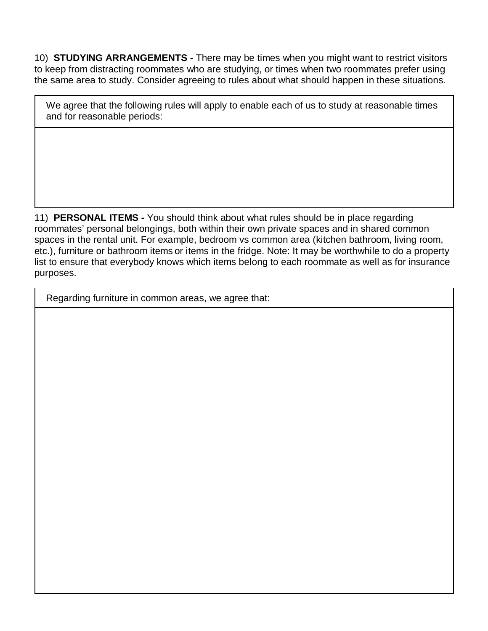10) **STUDYING ARRANGEMENTS -** There may be times when you might want to restrict visitors to keep from distracting roommates who are studying, or times when two roommates prefer using the same area to study. Consider agreeing to rules about what should happen in these situations.

We agree that the following rules will apply to enable each of us to study at reasonable times and for reasonable periods:

11) **PERSONAL ITEMS -** You should think about what rules should be in place regarding roommates' personal belongings, both within their own private spaces and in shared common spaces in the rental unit. For example, bedroom vs common area (kitchen bathroom, living room, etc.), furniture or bathroom items or items in the fridge. Note: It may be worthwhile to do a property list to ensure that everybody knows which items belong to each roommate as well as for insurance purposes.

Regarding furniture in common areas, we agree that: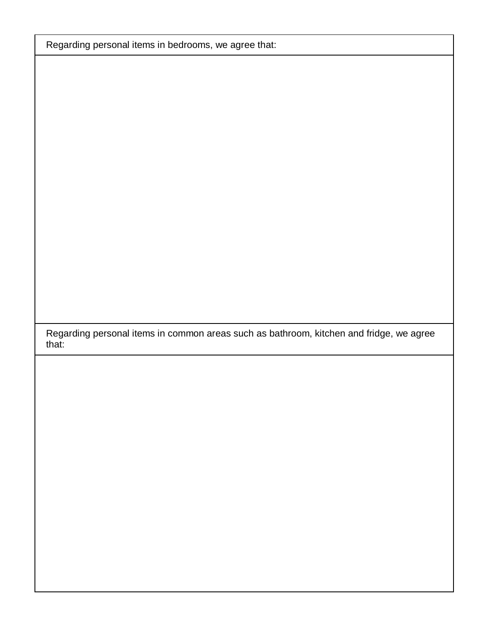Regarding personal items in bedrooms, we agree that:

Regarding personal items in common areas such as bathroom, kitchen and fridge, we agree that: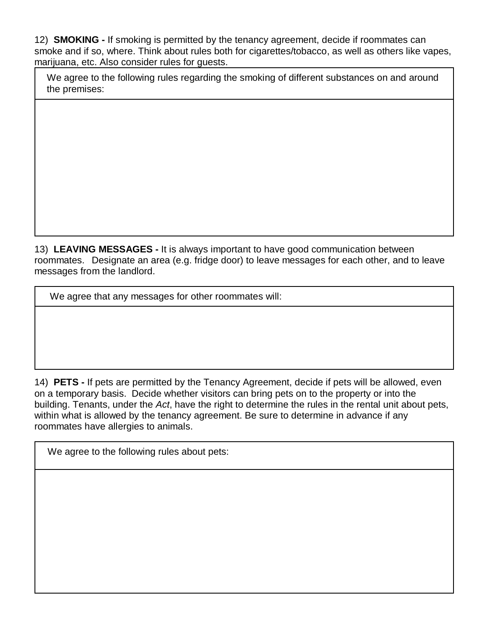12) **SMOKING -** If smoking is permitted by the tenancy agreement, decide if roommates can smoke and if so, where. Think about rules both for cigarettes/tobacco, as well as others like vapes, marijuana, etc. Also consider rules for guests.

We agree to the following rules regarding the smoking of different substances on and around the premises:

13) **LEAVING MESSAGES -** It is always important to have good communication between roommates. Designate an area (e.g. fridge door) to leave messages for each other, and to leave messages from the landlord.

We agree that any messages for other roommates will:

14) **PETS -** If pets are permitted by the Tenancy Agreement, decide if pets will be allowed, even on a temporary basis. Decide whether visitors can bring pets on to the property or into the building. Tenants, under the *Act*, have the right to determine the rules in the rental unit about pets, within what is allowed by the tenancy agreement. Be sure to determine in advance if any roommates have allergies to animals.

We agree to the following rules about pets: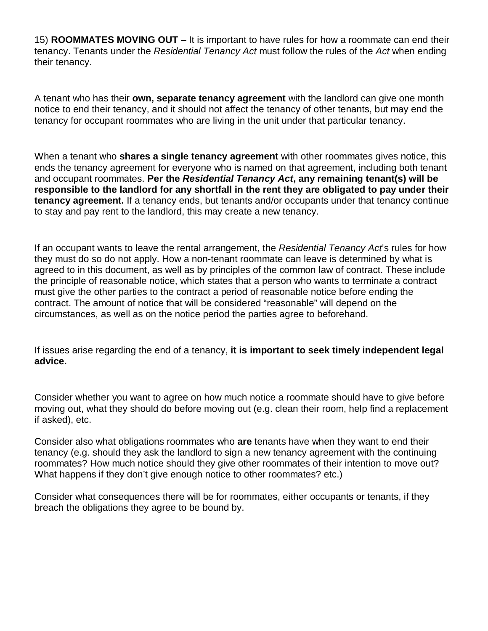15) **ROOMMATES MOVING OUT** – It is important to have rules for how a roommate can end their tenancy. Tenants under the *Residential Tenancy Act* must follow the rules of the *Act* when ending their tenancy.

A tenant who has their **own, separate tenancy agreement** with the landlord can give one month notice to end their tenancy, and it should not affect the tenancy of other tenants, but may end the tenancy for occupant roommates who are living in the unit under that particular tenancy.

When a tenant who **shares a single tenancy agreement** with other roommates gives notice, this ends the tenancy agreement for everyone who is named on that agreement, including both tenant and occupant roommates. **Per the** *Residential Tenancy Act***, any remaining tenant(s) will be responsible to the landlord for any shortfall in the rent they are obligated to pay under their tenancy agreement.** If a tenancy ends, but tenants and/or occupants under that tenancy continue to stay and pay rent to the landlord, this may create a new tenancy.

If an occupant wants to leave the rental arrangement, the *Residential Tenancy Act*'s rules for how they must do so do not apply. How a non-tenant roommate can leave is determined by what is agreed to in this document, as well as by principles of the common law of contract. These include the principle of reasonable notice, which states that a person who wants to terminate a contract must give the other parties to the contract a period of reasonable notice before ending the contract. The amount of notice that will be considered "reasonable" will depend on the circumstances, as well as on the notice period the parties agree to beforehand.

If issues arise regarding the end of a tenancy, **it is important to seek timely independent legal advice.**

Consider whether you want to agree on how much notice a roommate should have to give before moving out, what they should do before moving out (e.g. clean their room, help find a replacement if asked), etc.

Consider also what obligations roommates who **are** tenants have when they want to end their tenancy (e.g. should they ask the landlord to sign a new tenancy agreement with the continuing roommates? How much notice should they give other roommates of their intention to move out? What happens if they don't give enough notice to other roommates? etc.)

Consider what consequences there will be for roommates, either occupants or tenants, if they breach the obligations they agree to be bound by.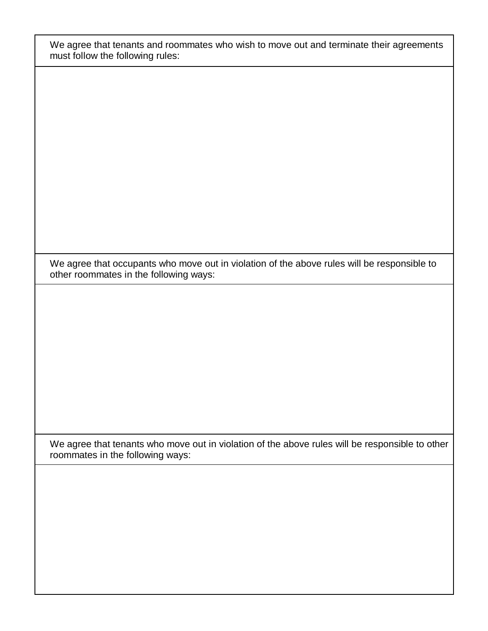We agree that tenants and roommates who wish to move out and terminate their agreements must follow the following rules:

We agree that occupants who move out in violation of the above rules will be responsible to other roommates in the following ways:

We agree that tenants who move out in violation of the above rules will be responsible to other roommates in the following ways: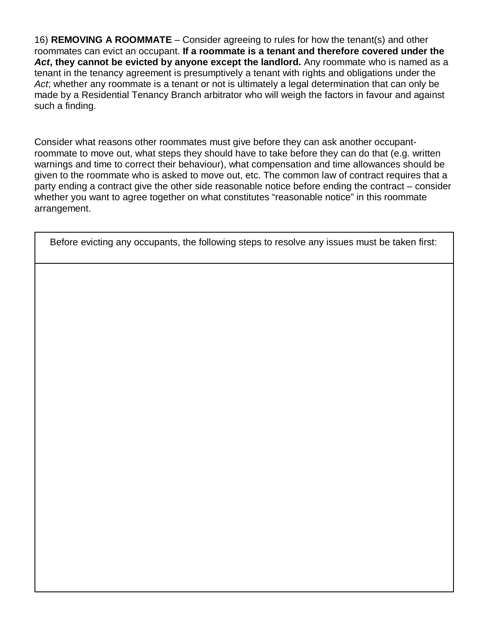16) **REMOVING A ROOMMATE** – Consider agreeing to rules for how the tenant(s) and other roommates can evict an occupant. **If a roommate is a tenant and therefore covered under the** *Act***, they cannot be evicted by anyone except the landlord.** Any roommate who is named as a tenant in the tenancy agreement is presumptively a tenant with rights and obligations under the *Act*; whether any roommate is a tenant or not is ultimately a legal determination that can only be made by a Residential Tenancy Branch arbitrator who will weigh the factors in favour and against such a finding.

Consider what reasons other roommates must give before they can ask another occupantroommate to move out, what steps they should have to take before they can do that (e.g. written warnings and time to correct their behaviour), what compensation and time allowances should be given to the roommate who is asked to move out, etc. The common law of contract requires that a party ending a contract give the other side reasonable notice before ending the contract – consider whether you want to agree together on what constitutes "reasonable notice" in this roommate arrangement.

Before evicting any occupants, the following steps to resolve any issues must be taken first: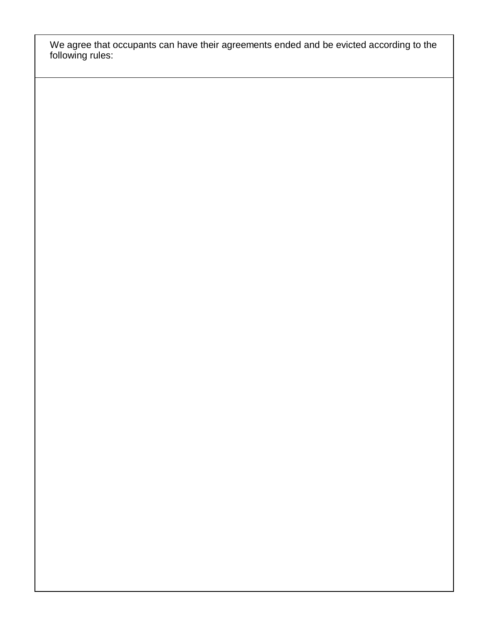We agree that occupants can have their agreements ended and be evicted according to the following rules: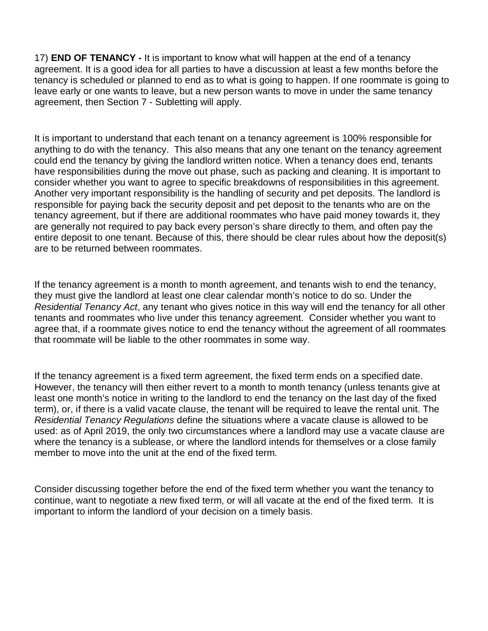17) **END OF TENANCY -** It is important to know what will happen at the end of a tenancy agreement. It is a good idea for all parties to have a discussion at least a few months before the tenancy is scheduled or planned to end as to what is going to happen. If one roommate is going to leave early or one wants to leave, but a new person wants to move in under the same tenancy agreement, then Section 7 - Subletting will apply.

It is important to understand that each tenant on a tenancy agreement is 100% responsible for anything to do with the tenancy. This also means that any one tenant on the tenancy agreement could end the tenancy by giving the landlord written notice. When a tenancy does end, tenants have responsibilities during the move out phase, such as packing and cleaning. It is important to consider whether you want to agree to specific breakdowns of responsibilities in this agreement. Another very important responsibility is the handling of security and pet deposits. The landlord is responsible for paying back the security deposit and pet deposit to the tenants who are on the tenancy agreement, but if there are additional roommates who have paid money towards it, they are generally not required to pay back every person's share directly to them, and often pay the entire deposit to one tenant. Because of this, there should be clear rules about how the deposit(s) are to be returned between roommates.

If the tenancy agreement is a month to month agreement, and tenants wish to end the tenancy, they must give the landlord at least one clear calendar month's notice to do so. Under the *Residential Tenancy Act*, any tenant who gives notice in this way will end the tenancy for all other tenants and roommates who live under this tenancy agreement. Consider whether you want to agree that, if a roommate gives notice to end the tenancy without the agreement of all roommates that roommate will be liable to the other roommates in some way.

If the tenancy agreement is a fixed term agreement, the fixed term ends on a specified date. However, the tenancy will then either revert to a month to month tenancy (unless tenants give at least one month's notice in writing to the landlord to end the tenancy on the last day of the fixed term), or, if there is a valid vacate clause, the tenant will be required to leave the rental unit. The *Residential Tenancy Regulations* define the situations where a vacate clause is allowed to be used: as of April 2019, the only two circumstances where a landlord may use a vacate clause are where the tenancy is a sublease, or where the landlord intends for themselves or a close family member to move into the unit at the end of the fixed term.

Consider discussing together before the end of the fixed term whether you want the tenancy to continue, want to negotiate a new fixed term, or will all vacate at the end of the fixed term. It is important to inform the landlord of your decision on a timely basis.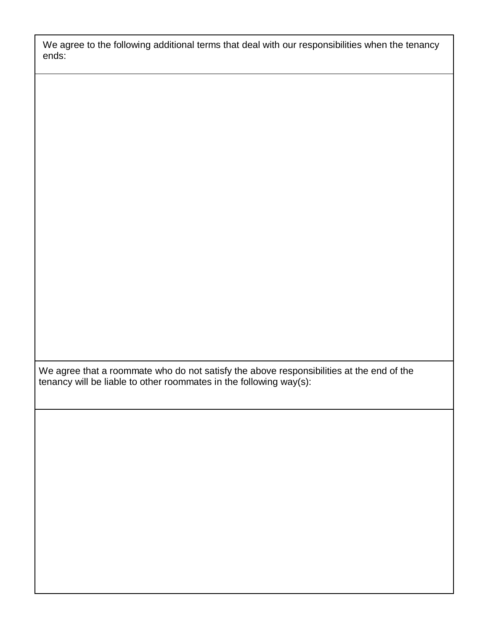We agree to the following additional terms that deal with our responsibilities when the tenancy ends:

We agree that a roommate who do not satisfy the above responsibilities at the end of the tenancy will be liable to other roommates in the following way(s):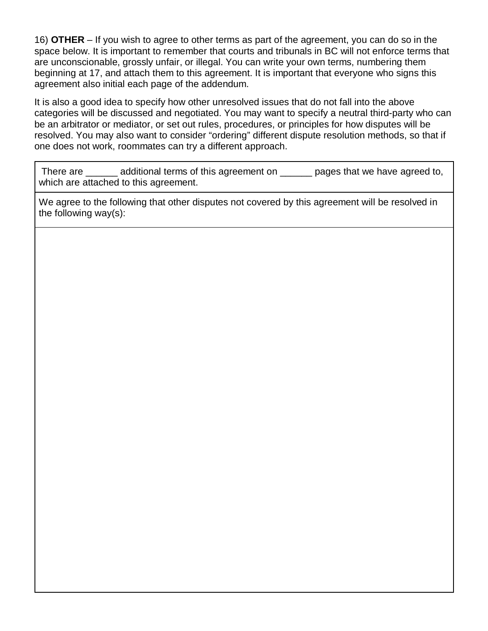16) **OTHER** – If you wish to agree to other terms as part of the agreement, you can do so in the space below. It is important to remember that courts and tribunals in BC will not enforce terms that are unconscionable, grossly unfair, or illegal. You can write your own terms, numbering them beginning at 17, and attach them to this agreement. It is important that everyone who signs this agreement also initial each page of the addendum.

It is also a good idea to specify how other unresolved issues that do not fall into the above categories will be discussed and negotiated. You may want to specify a neutral third-party who can be an arbitrator or mediator, or set out rules, procedures, or principles for how disputes will be resolved. You may also want to consider "ordering" different dispute resolution methods, so that if one does not work, roommates can try a different approach.

There are <u>exceeded</u> additional terms of this agreement on example pages that we have agreed to, which are attached to this agreement.

We agree to the following that other disputes not covered by this agreement will be resolved in the following way(s):